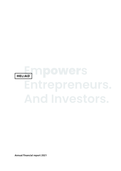# **Empowers**

Annual financial report 2021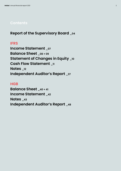# **Contents**

**Report of the Supervisory Board \_04**

# **IFRS**

**Income Statement \_07 Balance Sheet \_08 + 09 Statement of Changes in Equity \_10 Cash Flow Statement \_11 Notes \_12 Independent Auditor's Report \_37**

# **HGB**

**Balance Sheet \_40 + 41 Income Statement \_42 Notes \_43 Independent Auditor's Report \_48**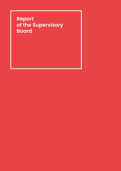# **Report of the Supervisory Board**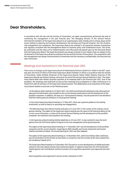# **Dear Shareholders,**

In accordance with the law and the Articles of Association, we again conscientiously performed the task of monitoring the management in the past financial year. The Managing Director of the General Partner informed the members of the Supervisory Board on an ongoing basis, both verbally and in writing, about all the issues relating to planning and business development, the earnings and financial situation, the risk situation, risk management and compliance. The Supervisory Board was involved in all important business transactions and regularly consulted with the Management Board on business policy and fundamental issues. The strategic orientation and the status of its implementation were discussed and agreed upon by the Executive Board with the Supervisory Board. The Supervisory Board was always involved in such matters that are subject to the involvement of the Supervisory Board according to the law and the Articles of Association. The cooperation with the management was always characterised by commitment and the necessary confidentiality, the discussion by open interaction.

# Meetings and resolutions in the financial year 2021

There were no changes to the Supervisory Board of Heliad Equity Partners GmbH & Co. KGaA in the 2021 reporting year; the terms of office of the three Supervisory Board members in office in accordance with the Articles of Association, Volker Rofalski (Chairman of the Supervisory Board), Stefan Müller (Deputy Chairman of the Supervisory Board) and Herbert Seuling, will end at the end of the Annual General Meeting in 2022. The Supervisory Board dealt with Heliad's business activities at all meetings held in the financial year 2021. Due to the pandemic, the meetings were held both as face-to-face meetings and as telephone or video conferences or in mixed form with all members of the Supervisory Board present. The deliberations and resolutions of the Supervisory Board related in particular to the following topics:

- *· At the balance sheet meeting on 22 March 2021, the 2020 annual financial statements were discussed and approved and information was provided on the current business performance and the development of the portfolio companies. In addition, the topic of a "virtual general meeting" was discussed and it was decided to hold the ordinary general meeting as a virtual general meeting.*
- *· In the virtual Supervisory Board meeting on 12 May 2021, there was a general update on the existing investments, as well as reports on upcoming new engagements.*
- *· The following Supervisory Board meeting took place on 9 June 2021 in the context of the ordinary virtual general meeting. The subject of the Supervisory Board meeting was the report of the Executive Board on the current course of business, a review of the Annual General Meeting and the development of the portfolio companies. No resolutions were passed at this meeting.*
- *· In the Supervisory Board meeting held by telephone on 30 June 2021, it was resolved to issue the stock options from the 2016 Stock Options Program to the new management of the general partner.*
- *· The subject of the Supervisory Board meeting on 11 November 2021 was the development of the portfolio companies and the current situation, target figures (NAV, liquidity and income statement) and investor relations activities at Heliad. The annual planning for 2022 was then adopted.*
- *· The subject of the Supervisory Board meeting on 15 November 2021, which was held by video conference, was the amendment of the Articles of Association in connection with the increase of the share capital from the Conditional Capital 2016.*
- *· The Supervisory Board meeting on 9 December 2021 focused on current developments at Heliad and preparations for the cash capital increase from Authorised Capital. A capital increase from the 2018 Authorised Capital against cash contributions and the conclusion of an acquisition agreement were approved and resolved.*
- *· Share acquisitions were approved in various circular resolutions in 2021.*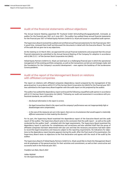# Audit of the financial statements without objections

The Annual General Meeting appointed ifb Treuhand GmbH Wirtschaftsprüfungsgesellschaft, Grünwald, as auditor for the financial year 2021 on 9 June 2021. The auditor has audited these annual financial statements for the financial year 2021 of Heliad Equity Partners GmbH & Co. KGaA and issued an unqualified audit opinion.

The Supervisory Board received the audited and certified annual financial statements for the financial year 2021 in good time, reviewed them itself and discussed the documents in detail with the Executive Board. The result of the audit did not give rise to any objections.

At the meeting on 22 March 2022, we approved the annual financial statements and proposed that the annual financial statements be submitted to the Annual General Meeting of the Company for adoption in accordance with § 286 (1) Cl. 1 of the German Stock Corporation Act (AktG).

Heliad Equity Partners GmbH & Co. KGaA can look back on a challenging financial year in which the operational management of the existing portfolio companies, as well as the transactions carried out and changes made, laid the foundations for the Company's successful development – even against the backdrop of the burdensome Corona pandemic.

# Audit of the report of the Management Board on relations with affiliated companies

The report on relations with affiliated companies (dependency report) prepared by the management of the general partner in accordance with § 312 of the German Stock Corporation Act (AktG) for the financial year 2021 was submitted to the Supervisory Board together with the audit report on this prepared by the auditor.

The auditor has audited the dependency report and issued the following unqualified audit opinion in accordance with § 313 German Stock Corporation Act (AktG): "Following our audit and assessment in accordance with professional standards, we confirm that

- *· the factual information in the report is correct,*
- *· the legal transactions listed in the report and the company's performance was not inappropriately high or disadvantages were compensated,*
- *· in the case of the measures set out in the report, there are no circumstances that would support a materially different assessment to that made by the directors."*

For its part, the Supervisory Board examined the dependence report of the Executive Board and the audit report of the auditor. The Supervisory Board came to the conclusion that the audit report – as well as the audit conducted by the auditor itself – complied with the legal requirements. The Supervisory Board examined the dependency report in particular for completeness and correctness and also satisfied itself that the group of affiliated companies had been determined with due care and that the necessary precautions had been taken to record the legal transactions and measures subject to the reporting requirements. No indications for objections to the dependency report became apparent during this audit. After the final result of its examination, the Supervisory Board raises no objections to the final declaration and agrees with the result of the audit by the auditor.

The Supervisory Board of Heliad Equity Partners GmbH & Co. KGaA would like to thank the Management Board and all employees of the general partner for their activities and commitment, as well as their constructive and successful work in the financial year 2021.

*Frankfurt am Main, March 2022* 

*Volker Rofalski For the Supervisory Board*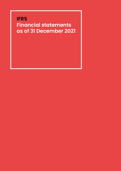# **IFRS Financial statements as of 31 December 2021**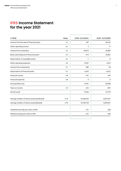# **IFRS Income Statement for the year 2021**

| in TEUR                                     | <b>Notes</b> | 01/01-31/12/2021 | 01/01-31/12/2020 |
|---------------------------------------------|--------------|------------------|------------------|
| Income from the sale of financial assets    | 5.1          | 947              | 26,235           |
| Other operating income                      | 5.2          | 3                | 17               |
| Income from revaluation                     | 5.3          | 28,814           | 56,895           |
| Book value disposal of financial assets     | 5.4          | $-573$           | $-16,867$        |
| Depreciation on intangible assets           | 5.5          | $-1$             | $\mathbf 0$      |
| Other operating expenses                    | 5.6          | $-9,297$         | $-2,615$         |
| Income from investments                     | 5.7          | 980              | 84               |
| Depreciation of financial assets            | 5.3          | $-3,653$         | $-6,012$         |
| Financial income                            | 5.8          | 241              | 344              |
| Financial expenses                          | 5.8          | $\mathbf 0$      | $\Omega$         |
| Earning before tax                          |              | 17,461           | 58,080           |
| Taxes on income                             | 5.9          | $-425$           | $-801$           |
| Period result                               |              | 17,036           | 57,279           |
| Average number of shares issued (undiluted) | 5.10         | 10,189,434       | 9,872,941        |
| Average number of shares issued (diluted)   | 5.10         | 10,190,159       | 9,878,941        |
| Undiluted earnings per share in EUR         |              | 1.67             | 5.80             |
| Diluted earnings per share in EUR           |              | 1.67             | 5.80             |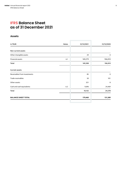# **IFRS Balance Sheet as of 31 December 2021**

# **Assets**

| <b>Notes</b> | 31/12/2021 | 31/12/2020 |
|--------------|------------|------------|
|              |            |            |
|              | 29         | 0          |
| 6.1          | 169,279    | 106,810    |
|              | 169,308    | 106,810    |
|              |            |            |
|              | 85         | 0          |
|              | 50         | 101        |
|              | 321        | 8          |
| $6.2$        | 9,696      | 24,469     |
|              | 10,152     | 24,578     |
|              | 179,460    | 131,389    |
|              |            |            |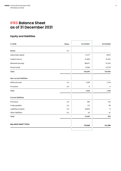# **IFRS Balance Sheet as of 31 December 2021**

# **Equity and liabilities**

| <b>Notes</b> | 31/12/2021 | 31/12/2020 |
|--------------|------------|------------|
| 6.3          |            |            |
|              | 11,217     | 9,873      |
|              | 41,820     | 31,452     |
|              | 88,621     | 31,342     |
|              | 17,036     | 57,279     |
|              | 158,694    | 129,946    |
|              |            |            |
| 4.2          | 1,559      | 1,134      |
| $6.4$        | 6          | 6          |
|              | 1,564      | 1,139      |
|              |            |            |
| $6.4\,$      | 203        | 152        |
| 6.5          | 113        | 90         |
| 6.5          | 18,823     | $\pmb{0}$  |
| 6.5          | 63         | 61         |
|              | 19,202     | 303        |
|              | 179,460    | 131,389    |
|              |            |            |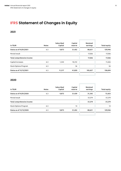# **IFRS Statement of Changes in Equity**

# **2021**

| in TEUR                    | <b>Notes</b> | <b>Subscribed</b><br>Capital | Capital<br>reserve | Retained<br>earnings | <b>Total equity</b> |
|----------------------------|--------------|------------------------------|--------------------|----------------------|---------------------|
| Status as of 01/01/2021    | 6.3          | 9,873                        | 31,452             | 88,621               | 129,946             |
| Period result              |              |                              |                    | 17,036               | 17,036              |
| Total comprehensive income |              |                              |                    | 17,036               | 17,036              |
| Capital increases          | 6.3          | 1.344                        | 10,312             |                      | 11,656              |
| Stock Options Program      | 6.3          |                              | 56                 |                      | 56                  |
| Status as of 31/12/2021    | 6.3          | 11,217                       | 41,820             | 105,657              | 158,694             |

# **2020**

| in TEUR                      | <b>Notes</b> | <b>Subscribed</b><br>Capital | Capital<br>reserve | Retained<br>earnings | <b>Total equity</b> |
|------------------------------|--------------|------------------------------|--------------------|----------------------|---------------------|
| Status as of 01/01/2020      | 6.3          | 9,873                        | 31,439             | 31,342               | 72,653              |
| Period result                |              |                              |                    | 57,279               | 57,279              |
| Total comprehensive income   |              |                              |                    | 57,279               | 57,279              |
| <b>Stock Options Program</b> | 6.3          |                              | 14                 |                      | 14                  |
| Status as of 31/12/2020      | 6.3          | 9,873                        | 31,452             | 88,621               | 129,946             |
|                              |              |                              |                    |                      |                     |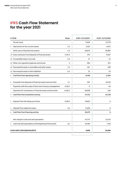# **IFRS Cash Flow Statement for the year 2021**

| in TEUR                                                         | <b>Notes</b> | 01/01-31/12/2021 | 01/01-31/12/2020 |
|-----------------------------------------------------------------|--------------|------------------|------------------|
| Period result                                                   |              | 17,036           | 57,279           |
| Deprication of non-current assets                               | 5.3          | 3,425            | 6,012            |
| Write-ups on financial instruments                              | 5.3          | $-28,814$        | $-56,895$        |
| -/+ Gains on/losses from disposals of financial assets          | 5.1/5.4      | $-374$           | $-9,367$         |
| +/- Increase/decrease in accruals                               | 6.4          | 51               | $-13$            |
| +/- Other non-operative expenses and income                     | 5            | 904              | 815              |
| +/- Decrease/increase in receivables and other assets           | 7.2          | $-351$           | $-299$           |
| +/- Decrease/increase in other liabilities                      | 6.5          | 25               | 43               |
| Cash flow from operating activity                               |              | $-8,100$         | $-2,426$         |
| Proceeds from disposals of financial assets and securities<br>+ | 5.1          | 947              | 26,129           |
| Payments with the scope of short-term treasury management       | 6.1/6.2      | $\mathbf 0$      | $-65$            |
| Payments for investments in financial assets and securities     | 6.2/6.5      | $-38,099$        | $-326$           |
| Cash flow from investment activity                              |              | $-37,152$        | 25,738           |
| Deposit from the taking up of loans<br>÷                        | 6.2/6.5      | 18,823           | $\mathbf 0$      |
| Deposit from capital increases<br>$\ddot{}$                     | 6.3          | 11,656           | 0                |
| Cash flow from financing activity                               |              | 30,479           | 0                |
| Net change in cash and cash equivalents                         |              | $-14,773$        | 23,313           |
| Cash and cash equivalents at the beginning of the period        | 6.2          | 24,469           | 1,156            |
| <b>CASH AND CASH EQUIVALENTS</b>                                |              | 9,696            | 24,469           |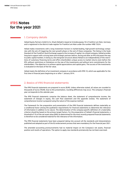# **IFRS Notes for the year 2021**

# 1. Company details

Heliad Equity Partners GmbH & Co. KGaA (Heliad) is based at Grüneburgweg 18 in Frankfurt am Main, Germany and is registered in the district trade register for Frankfurt am Main under the number HRB 73524.

Heliad makes investments with a long investment horizon in market-leading, high-growth technology companies with the aim of triggering the next growth phase or the exit of these companies. The listing in the Scale Standard of the Frankfurt Stock Exchange supports the increase of capital. As a listed company, Heliad provides long-term support with a strong team and strategic partners before, during and after an IPO and paves the way to public capital markets. In doing so, the evergreen structure allows Heliad to act independently of the restrictions of customary financing terms and offers shareholders unique access to market returns even before the IPO, without restrictions or limitations on the size of the investments and without term commitments for the shareholders. The objective is to achieve capital appreciations and capital gains. The success of the investments is evaluated on the basis of the fair value.

Heliad meets the definition of an investment company in accordance with IFRS 10, which was applicable for the first time in financial years beginning on or after 1 January 2014.

# 2. Basics of IFRS financial statements

The IFRS financial statements are prepared in euros (EUR). Unless otherwise stated, all values are rounded to thousands of euros (TEUR). Due to this presentation, rounding differences may occur. The company's financial year corresponds to the calendar year.

The IFRS financial statements comprise the balance sheet, the statement of comprehensive income, the statement of changes in equity, the cash flow statement and the appendix (notes). The statement of comprehensive income is prepared using the nature of the expense method.

The framework for the preparation and presentation of the IFRS financial statements defines materiality as a conditional factor among the qualitative requirements for financial statements to determine the relevance of information in addition to its nature. The determination of the company-specific definition of a materiality criterion should be based on the primary target factors. For the preparation of Heliad's financial statements, a threshold of 1% of the net asset value (NAV) as determined for the most recently prepared financial statements is therefore to be considered material for the relevance of the information.

The IFRS financial statements have been prepared taking into account all the standards and interpretations published and adopted as part of the EU endorsement process that were mandatory for the financial year 2021.

The amended accounting pronouncements had no material impact on the Company's net assets, financial position and results of operations. The option to apply new standards prematurely has not been exercised.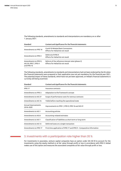The following standards, amendments to standards and interpretations are mandatory on or after 1 January 2021:

| Standard                                                       | Content and significance for the financial statements                                |
|----------------------------------------------------------------|--------------------------------------------------------------------------------------|
| Amendments to IFRS 16                                          | Covid-19-Related Rent Concessions<br>Effects for Heliad do not result                |
| Amendments to IFRS 4                                           | Deferral of IFRS 9<br>Effects for Heliad do not result                               |
| Amendments to IFRS 9,<br>IAS 39, IFRS 7, IFRS 4<br>and IFRS 16 | Reform of the reference interest rates (phase 2)<br>Effects for Heliad do not result |

The following standards, amendments to standards and interpretations had not been endorsed by the EU when the financial statements were prepared or their application was not yet mandatory for the financial year 2021. The potential impact of these standards, which have not yet been approved, on Heliad's financial statements is currently still being examined.

| Standard                         | Content and significance for the financial statements                  |
|----------------------------------|------------------------------------------------------------------------|
| <b>IFRS17</b>                    | Insurance contracts                                                    |
| Amendments to IFRS 3             | Adaptation to the framework concept                                    |
| Amendments to IAS 37             | Scope of performance costs for onerous contracts                       |
| Amendments to IAS 16             | Yields before reaching the operational state                           |
| Annual improvements<br>2018-2020 | Improvements to IFRS 1, IFRS 9, IFRS 16 and IAS 41                     |
| Amendments to IAS 1              | Accounting policies                                                    |
| Amendments to IAS 8              | Accounting-related estimates                                           |
| Amendments to IAS 1              | Classification of liabilities as short-term or long-term               |
| Amendments to IAS 12             | Deferred taxes on a single transaction                                 |
| Amendments to IFRS 17            | First-time application of IFRS 17 and IFRS 9 – Comparative information |

# 3. Investments with a participation rate higher than 20 %

For investments in associates, venture capital companies have an option under IAS 28.18 to account for the investments using the equity method or at fair value through profit or loss in accordance with IFRS 9. Heliad makes use of this option and measures the associated companies at fair value through profit or loss.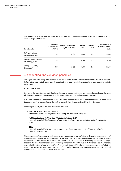The conditions for exercising the option were met for the following investments, which were recognised at fair value through profit or loss:

| Investments                                | Nominal<br>share capital<br>in TEUR | Heliad's share as of<br>31/12/2020 in % | Inflow<br>in % | Outflow<br>in % | <b>Heliad's share</b><br>as of 31/12/2021<br>in % |
|--------------------------------------------|-------------------------------------|-----------------------------------------|----------------|-----------------|---------------------------------------------------|
| MT Holding GmbH,<br>Bisamberg/Austria      | 42                                  | 35.35                                   | 0.00           | 0.00            | 35.35                                             |
| Grapevine World GmbH,<br>Bisamberg/Austria | 35                                  | 28.00                                   | 0.00           | 0.00            | 28.00                                             |
| Springlane GmbH,<br>Düsseldorf             | 363                                 | 26.50                                   | 0.00           | 0.00            | 26.50                                             |

# 4. Accounting and valuation principles

The significant accounting policies used in the preparation of these financial statements are set out below. Unless otherwise stated, the methods described have been applied consistently to the reporting periods presented.

# **4.1 Financial assets**

Loans and the securities and participations allocated to non-current assets are reported under financial assets. All shares in companies that are not recorded as securities are reported under participations.

IFRS 9 requires that the classification of financial assets be determined based on both the business model used to manage the financial assets and the contractual cash flow characteristics of the financial asset.

According to IFRS 9, three business models are available:

*· Intention to Hold ("Hold to Collect")*

*Financial assets held for the purpose of collecting the contractual cash flows.*

- *· Hold to Collect and Sell Intention ("Hold to Collect and Sell") Financial assets held for the purpose of both collecting the contractual cash flows and selling financial assets.*
- *· Other*

*Financial assets held with the intent to trade or that do not meet the criteria of "Hold to Collect" or "Hold to Collect and Sell".*

The assessment of the business model requires an examination based on facts and circumstances at the time of the assessment. Qualitative factors include how the performance of the business model and the financial assets held in that business model are assessed and reported to key personnel at Heliad (e.g. whether reporting is based on the fair value of the assets under management or on the contractual cash flows received). If a financial asset is held in either a "hold to collect" or a "hold to collect and sell" business model, an assessment of whether the contractual cash flows are solely payments of principal and interest on the principal outstanding is required to determine the classification at initial recognition.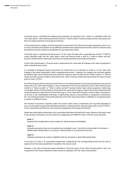A financial asset is classified and subsequently measured "at amortised cost", unless it is classified under the "fair value option", when the financial asset is held in a "hold to collect" business model and the contractual cash flows are solely payments of principal and interest.

In this measurement category, the financial asset is measured at fair value less principal repayments, plus or minus the cumulative amortisation of any difference between the original amount and the maturity amount using the effective interest method, and adjusted for any impairment losses.

A financial asset is classified and measured as "at fair value through other comprehensive income" ("FVOCI"), unless classified under the fair value option, when the financial asset is held in a "hold to collect and sell" business model and the contractual cash flows are solely payments of principal and interest.

In the FVOCI classification, a financial asset is measured at fair value with all changes in fair value recognised in other comprehensive income.

It is possible to designate equity instruments for which there is no intention to trade as "at fair value with changes in the value recognised in other comprehensive income". However, this category has not been applied by Heliad to date. Any financial asset that is held for trading or does not fall into the "hold to collect" or "hold to collect and sell" business models is allocated to the "other" business model and measured at fair value through profit or loss ("FVTPL").

Any financial asset whose contractual cash flows are not solely payments of principal and interest must also be measured at fair value with changes in value recognised in the income statement; even if that financial asset is held in a "hold to collect" or "hold to collect and sell" business model. Upon initial recognition, Heliad may irrevocably classify a financial asset as measured at fair value with changes in value in the income statement that would otherwise be measured at the amortised cost or at fair value with changes in value in other comprehensive income, if such classification eliminates or significantly reduces a measurement or recognition inconsistency (an "accounting mismatch") that would otherwise arise from measuring assets or liabilities or recognising gains or losses on a different basis.

The financial instruments reported under non-current assets (loans, investments and securities allocated to non-current assets) are generally classified by Heliad as "measured at fair value through profit or loss ("FVTPL")", as the contractual cash flows are not exclusively repayments of principal and interest.

Heliad uses observable market data as far as possible when determining the fair value. Based on the inputs used in the valuation techniques, the fair values are categorised into different levels in the fair value hierarchy:

# *Level 1:*

*Quoted prices (unadjusted) in active markets for identical assets and liabilities.*

# *Level 2:*

*Valuation parameters that are not quoted prices included in Level 1, but that are observable for the asset or liability either directly (that is, as a price) or indirectly (that is, as a derivative of prices).*

#### *Level 3:*

*Valuation parameters for assets or liabilities that are not based on observable market data.*

In the event of a sale or if a permanent impairment is determined, the corresponding profit from the sale or expense from the value adjustment is included in the annual result.

Changes in the value of financial assets classified as "financial assets at fair value through profit or loss" are recognised in the income statement under income or expenses from fair value measurement.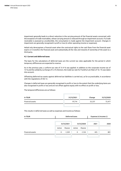Impairment generally leads to a direct reduction in the carrying amount of the financial assets concerned, with the exception of trade receivables, whose carrying amount is reduced through an impairment account. If a trade receivable is assessed as uncollectible, the consumption is made against the impairment account. Changes in impairment are generally recognised in profit or loss (in other operating income or expenses).

Heliad only derecognises a financial asset when the contractual rights to the cash flows from the financial asset expire or it transfers the financial asset and substantially all the risks and rewards of ownership of the asset to a third party.

# **4.2 Current and deferred taxes**

The basis for the calculations of deferred taxes are the current tax rates applicable for the period in which temporary differences are expected to reverse.

As in the previous year, a uniform tax rate of 31.9 % was applied. In addition to the corporate income tax of 15 % and the solidarity surcharge of 5.5 % thereon, the trade tax rate for Frankfurt am Main of 16.1 % was taken into account.

Offsetting deferred tax assets against deferred tax liabilities is carried out, as far as practicable, in accordance with the regulations of IAS 12.

Changes in deferred taxes are generally recognised in profit or loss to the extent that the underlying items are also recognised in profit or loss and are not offset against equity with no effect on profit or loss.

The temporal differences are as follows:

| in TEUR          | 31/12/2021 | Change | 31/12/2020 |
|------------------|------------|--------|------------|
| Financial assets | 97,714     | 25,237 | 72,477     |
|                  |            |        |            |

This results in deferred taxes as well as expenses and income as follows:

| in TEUR                 |        | <b>Deferred taxes</b> |            |          |      | Expense $(+)$ Income $(-)$ |  |
|-------------------------|--------|-----------------------|------------|----------|------|----------------------------|--|
|                         |        |                       |            |          |      |                            |  |
| <b>Financial assets</b> |        | 31/12/2021            | 31/12/2020 |          | 2021 | 2020                       |  |
|                         | Active | Passive               | Active     | Passive  |      |                            |  |
|                         | 0      | $-1,559$              | 0          | $-1,134$ | 425  | 801                        |  |
|                         |        |                       |            |          |      |                            |  |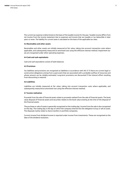The current tax expense is determined on the basis of the taxable income for the year. Taxable income differs from net income from the income statement due to expenses and income that are taxable or tax deductible in later years or never. The liability for current taxes is calculated on the basis of the applicable tax rates.

## **4.3 Receivables and other assets**

Receivables and other assets are initially measured at fair value, taking into account transaction costs where applicable, and subsequently measured at amortised cost using the effective interest method. Impairment losses are recognised under other operating expenses.

## **4.4 Cash and cash equivalents**

Cash and cash equivalents consist of bank balances.

## **4.5 Provisions**

Tax liabilities and provisions are recognised as liabilities in accordance with IAS 37 if there are current legal or constructive obligations arising from a past event that are associated with a probable outflow of resources and whose amount can be reliably estimated. Long-term provisions are discounted if the interest effect resulting from discounting is material.

# **4.6 Liabilities**

Liabilities are initially measured at fair value, taking into account transaction costs where applicable, and subsequently measured at amortised cost using the effective interest method.

# **4.7 Income realisation**

Proceeds from the sale of financial assets relate to proceeds realised from the sale of financial assets. The book value disposal of financial assets and securities relates to the book value existing at the time of the disposal of the financial assets.

The purchase or sale of assets is generally recognised on the trading day. Income from the sale is also recognised on this day. The trading day is the day on which the company entered into the obligation to buy or sell an asset. The disposals mainly relate to share transfers in portfolio companies.

Current income from dividend income is reported under income from investments. These are recognised on the date of the dividend resolution.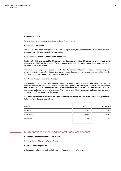## **4.8 Taxes on income**

Taxes on income and earnings contain current and deferred taxes.

#### **4.9 Currency conversion**

The financial statements were prepared in euros. Foreign currency transactions are translated into euros at the exchange rate valid on the day of the transaction.

# **4.10 Contingent liabilities and financial obligations**

Contingent liabilities are possible obligations to third parties or existing obligations for which an outflow of resources is unlikely or the amount of which cannot be reliably determined. Contingent liabilities are not recorded in the balance sheet.

The volume of contingent liabilities stated under item 7.3. Contingent liabilities and other financial obligations corresponds to the scope of liability existing on the balance sheet date and the residual payment obligations for contributions not yet called in for shares in partnerships.

# **4.11 Material assumptions and estimates**

The preparation of the financial statements requires assumptions and estimates to be made that affect the reported amounts of assets and liabilities, income and expenses and contingent liabilities. The assumptions and estimates used in the financial statements mainly relate to the valuation of unlisted investments and the recognition and measurement of provisions. The valuations of listed investments and securities can also be subject to significant short-term fluctuations.

Significant adjustments to the reported assets and provisions may be required in the next financial year for the following items due to a revaluation:

| in TEUR     | 31/12/2021 | 31/12/2020 |
|-------------|------------|------------|
| Securities  | 121,205    | 94,626     |
| Investments | 48,004     | 12,118     |
| Provisions  | 209        | 157        |
|             |            |            |

# 5. Explanations concerning the profit and loss account

# **5.1 Income from the sale of financial assets**

Shares in Elumeo SE and MagForce AG were sold.

## **5.2 Other operating income**

Other operating income mainly includes income from the reversal of provisions.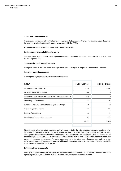# **5.3 Income from revaluation**

The revenues and expenses from the fair value valuation include changes in the value of financial assets that are to be recorded as affecting the net income in accordance with the IFRS 9.

Further disclosures are explained under item 7.1 Financial assets.

# **5.4 Book value disposal of financial assets**

The book value disposals are the corresponding disposal of the book values from the sale of shares in Elumeo SE and MagForce AG.

## **5.5 Depreciation of intangible assets**

Intangible assets in the amount of TEUR 1 (previous year TEUR 0) were subject to scheduled amortisation.

# **5.6 Other operating expenses**

Other operating expenses relate to the following items:

| in TEUR                                                       | 01/01-31/12/2021 | 01/01-31/12/2020 |
|---------------------------------------------------------------|------------------|------------------|
| Management and liability costs                                | -7,824           | $-2,107$         |
| Expenses for capital increases                                | -368             | $\mathbf 0$      |
| Consultancy costs within the scope of the investment business | $-254$           | 0                |
| Consulting and Audit costs                                    | $-152$           | $-92$            |
| Expenses within the scope of the management change            | $-129$           | $\Omega$         |
| Accounting and marketing                                      | $-127$           | $-123$           |
| Expense from options                                          | $-56$            | $-14$            |
| Remaining other operating expenses                            | -387             | $-279$           |
|                                                               | -9,297           | $-2,615$         |
|                                                               |                  |                  |

Miscellaneous other operating expenses mainly include costs for investor relations measures, capital provision costs and insurance. The costs for management and liability are calculated in accordance with the statutes. The expenses for options result mainly from the valuation of the share options issued within the framework of the Stock Options Program. As Heliad does not employ any staff of its own and therefore does not report any personnel expenses, the expenses for options are reported under other operating expenses, contrary to the usual recognition under personnel expenses. Additional information on the Stock Options Program is available under Item 7.10 Stock Options Program.

# **5.7 Income from investments**

Income from investments and securities exclusively comprises dividends. In calculating the cash flow from operating activities, no dividends, as in the previous year, have been taken into account.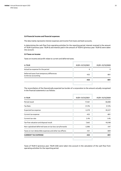#### **5.8 Financial income and financial expenses**

The data mainly represents interest expenses and income from loans and bank accounts.

In determining the cash flow from operating activities for the reporting period, interest received in the amount of TEUR 0 (previous year: TEUR 0) and interest paid in the amount of TEUR 0 (previous year: TEUR 0) were taken into account.

# **5.9 Taxes on income**

Taxes on income and profit relate to current and deferred taxes.

| in TEUR                                                            | 01/01-31/12/2021 | 01/01-31/12/2020 |
|--------------------------------------------------------------------|------------------|------------------|
| Actual tax expense for the period                                  | 0                | $\Omega$         |
| Deferred taxes from temporary differences<br>to the tax accounting | $-425$           | -801             |
|                                                                    | $-425$           | -801             |
|                                                                    |                  |                  |

The reconciliation of the theoretically expected tax burden of a corporation to the amount actually recognised in the financial statements is as follows:

| in TEUR                                                  | 01/01-31/12/2021 | 01/01-31/12/2020 |
|----------------------------------------------------------|------------------|------------------|
| Period result                                            | 17,461           | 58,080           |
| <b>Tax Rate</b>                                          | 31.9%            | 31.9%            |
| Expected tax expense                                     | -5,570           | $-18,527$        |
| Current tax expense                                      | $-425$           | $-801$           |
| Current tax rate                                         | 2.4%             | 1.4%             |
| Tax-free valuation and disposal result                   | 7,662            | $-18,188$        |
| Non-capitalised deferred taxes on tax loss carryforwards | $-2,086$         | $-347$           |
| Taxes on non-deductible expenses and other tax effects   | $-431$           | $-809$           |
| <b>CURRENT TAX EXPENSE</b>                               | -425             | -801             |
|                                                          |                  |                  |

Taxes of TEUR 0 (previous year: TEUR 0.00) were taken into account in the calculation of the cash flow from operating activities for the reporting period.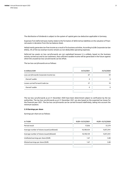The distribution of dividends is subject to the system of capital gains tax deduction applicable in Germany.

Expenses from deferred taxes mainly relate to the formation of deferred tax liabilities on the valuation of financial assets in deviation from the tax balance sheet.

Heliad mainly generates tax-free income as a result of its business activities. According to § 8b Corporate tax law (KStG), 5% of the tax-exempt income remains as non-deductible operating expenses.

Deferred tax assets on loss carryforwards are not capitalised because it is unlikely, based on the business activity carried out and its tax treatment, that sufficient taxable income will be generated in the future against which the unused tax loss carryforwards can be offset.

The tax loss carryforwards are as follows:

| in millions EUR                         | 31/12/2021 | 31/12/2020 |
|-----------------------------------------|------------|------------|
| Loss carryforwards Corporate income tax | 67         | 59         |
| thereof usable                          | 0          | $\Omega$   |
| Losses carried forward trade tax        | 27         | 19         |
| thereof usable                          | 0          | $\Omega$   |
|                                         |            |            |

The tax loss carryforwards as at 31 December 2020 have been determined subject to verification by the tax authorities. The tax loss carryforwards as at 31 December 2021 are also based on the expected tax losses for the financial year 2021. The tax loss carryforwards can be carried forward indefinitely, taking into account the minimum taxation.

## **5.10 Earnings per share**

Earnings per share are as follows:

| in T-EUR                                    | 01/01-31/12/2021 | 01/01-31/12/2020 |
|---------------------------------------------|------------------|------------------|
| Period result                               | 17,036           | 57,279           |
| Average number of shares issued (undiluted) | 10,189,434       | 9,872,941        |
| Average number of shares issued (diluted)   | 10,190,159       | 9,872,941        |
| Undiluted earnings per share (EUR)          | 1.67             | 5.80             |
| Diluted earnings per share (EUR)            | 1.67             | 5.80             |
|                                             |                  |                  |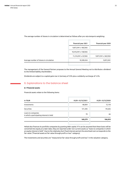The average number of shares in circulation is determined as follows after pro rata temporis weighting:

|                                         | financial year 2021  | financial year 2020 |
|-----------------------------------------|----------------------|---------------------|
|                                         | 9,872,941 x 185/365  |                     |
|                                         | 10,416,941 x 158/365 |                     |
|                                         | 11,216,941 x 22/365  | 9,872,941 x 365/365 |
| Average number of shares in circulation | 10,189,434           | 9,872,941           |
|                                         |                      |                     |

The management of the General Partner proposes to the Annual General Meeting not to distribute a dividend to the limited liability shareholders.

Dividends are subject to a capital gains tax in Germany of 25% plus a solidarity surcharge of 5.5%.

# 6. Explanations to the balance sheet

# **6.1 Financial assets**

Financial assets relate to the following items:

| in TEUR                                                         | 01/01-31/12/2021 | 01/01-31/12/2020 |
|-----------------------------------------------------------------|------------------|------------------|
| Investments                                                     | 48,004           | 12,118           |
| Securities                                                      | 121,205          | 94,626           |
| Loans to companies<br>in which a participating interest is held | 70               | 66               |
|                                                                 | 169,279          | 106,810          |
|                                                                 |                  |                  |

Heliad also finances its portfolio companies by granting debt capital. If it can be assumed that these loans will be converted into equity at a later date, they are reported under non-current assets as "loans to companies in which an equity interest is held". Due to the relatively short fixed-interest period, the amortised cost corresponds to the fair value ("financial assets at fair value through profit or loss" category).

The investments and securities are "measured at fair value through profit and loss" in the valuation category.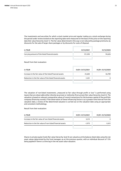The investments and securities for which a stock market price and regular trading on a stock exchange during the period under review existed on the reporting date were measured on the basis of this price on the reporting date (fair value hierarchy: level 1). The fair value determined in this way is not reduced by package premiums, by discounts for the sale of larger share packages or by discounts for costs of disposal.

| in TEUR                                        | 31/12/2021 | 31/12/2020 |
|------------------------------------------------|------------|------------|
| Carrying amount of the listed financial assets | 121.205    | 94.626     |
|                                                |            |            |

Result from their evaluation:

| in TEUR                                                    | 01/01-31/12/2021 | 01/01-31/12/2020 |
|------------------------------------------------------------|------------------|------------------|
| Increase in the fair value of the listed financial assets  | 25.602           | 56.789           |
| Reduction in the fair value of the listed financial assets | $-1.451$         | $\Omega$         |
|                                                            |                  |                  |

The valuation of non-listed investments "measured at fair value through profit or loss" is performed using inputs that are observable either directly (as prices) or indirectly (from prices) (fair value hierarchy: level 2). The valuation is based on relevant comparative values of recent transactions for the business capital of the portfolio company (financing rounds). If the observation of these influencing factors is at a greater time interval from the valuation date, a review of the determined valuation is carried out on the valuation date using an appropriate and consistent methodology.

Result from their evaluation:

| in TEUR                                                    | 01/01-31/12/2021 | 01/01-31/12/2020 |
|------------------------------------------------------------|------------------|------------------|
| Increase in the fair value of non-listed financial assets  | 3.212            | $\Omega$         |
| Reduction in the fair value of non-listed financial assets | $-1.973$         | -5.612           |
|                                                            |                  |                  |

Shares in private equity funds (fair value hierarchy: level 3) are valued as at the balance sheet date using the net asset values determined by the fund managers as at the previous quarter, with an individual discount of 15% being applied if there is a time lag in the net asset value valuation.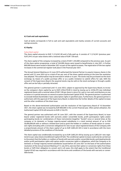# **6.2 Cash and cash equivalents**

Cash at banks corresponds in full to cash and cash equivalents and mainly consists of current accounts and savings accounts.

#### **6.3 Equity**

#### Subscribed capital

The share capital amounts to EUR 11,216,941.00 and is fully paid up. It consists of 11,216,941 (previous year: 9,872,941) no-par value shares with a notional value of EUR 1.00 each.

The share capital of the company increased by a total of EUR 1,344,000 compared to the previous year. As part of the share option programme, a total of 544,000 shares were issued to beneficiaries in July 2021. A further 800,000 shares were issued in December 2021 as part of the capital increases. The registration of the two capital increases in the commercial register took place in the financial year 2021.

The Annual General Meeting on 24 June 2019 authorised the General Partner to acquire treasury shares in the period until 23 June 2024 up to a total of ten per cent of the share capital existing at the time the resolution was adopted. The authorisation may be exercised in whole or in part. The stocks may be purchased via the stock exchange, by means of a public purchase offer or as a public invitation to submit offers for sale. With the consent of the Supervisory Board, the acquired stocks may be sold on the stock exchange or through a public offer and can be fully or partially retracted.

The general partner is authorised until 13 June 2023, subject to approval by the Supervisory Board, to increase the company's share capital by up to EUR 4,936,470.00 in total by issuing up to 4,936,470 new individual registered shares with a nominal value of EUR 1.00 per share in return for cash or non-cash contributions on one occasion or in partial amounts on several occasions (Authorised Capital 2018). The general partner is authorised to exclude limited shareholders' basic subscription rights in specified cases. Furthermore, the general partner is authorised, with the approval of the Supervisory Board, to determine the further details of the capital increase and the other conditions of the share issue.

Based on the above-mentioned authorisation and the resolution of the Supervisory Board of 10 December 2021, the share capital was increased by EUR 800,000 in the current financial year. After partial utilisation, the Authorised Capital 2018 still amounts to EUR 4,136,470.

The general partner was authorised until 30 June 2021, with the consent of the Supervisory Board, to issue bearer and/or registered bonds with warrants and/or convertible bonds, profit participation rights and/or participating bonds (or combinations of these instruments) (together "bonds") once or several times at the company or its domestic or foreign majority-owned subsidiaries in a total nominal amount of up to EUR 50,000,000.00 with or without a limited term and to grant the holders or creditors of bonds option or conversion rights (including with a conversion obligation) for new no-par value-registered shares of the Company with a proportionate amount of the share capital of up to EUR 3,803,261.00 in total in accordance with the more detailed provisions of the conditions of the bonds.

The share capital was conditionally increased by up to EUR 3,803,261.00 by issuing up to 3,803,261 new registered no-par value shares (Conditional Capital 2016/I). The conditional capital increase could only be carried out to the extent that the holders or creditors of bonds with warrants and/or convertible bonds, participating bonds and/or profit participation rights with option and/or conversion rights or obligations, which the Company or its domestic or foreign majority-owned subsidiaries issued before 30 June 2021 on the basis of the authorisation resolution of the Annual General Meeting of 12 July 2016, exercise their option or conversion rights from these bonds or fulfil their obligation to convert and in all cases, this shall apply to the extent that the Conditional Capital 2016/I was required in accordance with the terms and conditions of the bonds with warrants or convertible bonds.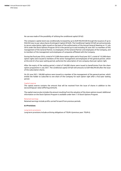No use was made of the possibility of utilising the conditional capital 2016/I.

The company's capital stock was conditionally increased by up to EUR 950,944.00 through the issuance of up to 950,944 new no par value shares (Contingent Capital 2016/II). The Conditional Capital 2016/II served exclusively to secure subscription rights issued on the basis of the authorization of the Annual General Meeting on 12 July 2016 under the Stock Options Program 2016 in the period up to and including 30 June 2021 to members of the management of the General Partner, to employees of the General Partner and employees of the Company, and to members of the management and employees of companies affiliated with the Company.

During the fiscal year 2016, a total of 412,000 share option rights and in fiscal year 2017, a total of 132,000 share option rights were issued to members of the senior management and employees of the general partner, which at the end of a four-year waiting period, authorize the subscription of one company share per option right.

After the expiry of the waiting period, a total of 544,000 shares were issued to beneficiaries from the share option programme in July 2021. The conditional capital 2016/II still amounts to EUR 406,944.00 after the issue of the subscription shares.

On 30 June 2021, 100,000 options were issued to a member of the management of the general partner, which entitle the holder to subscribe to one share of the Company for each option right after a four-year waiting period.

## Capital reserve

The capital reserve contains the amount that will be received from the issue of shares in addition to the (accounting) par value (offering premium).

The capital reserve also includes the amount resulting from the valuation of the share options issued. Additional information on the Stock Options Program is available under Item 7.10 Stock Options Program.

#### Retained earnings

Retained earnings include profits carried forward from previous periods.

# **6.4 Provisions**

#### Long-term provisions

Long-term provisions include archiving obligations of TEUR 6 (previous year: TEUR 6).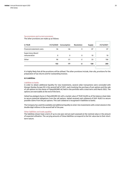# Tax provisions and current provisions

The other provisions are made up as follows:

| in TEUR                                  |     | 31/12/2020 Consumption | Resolution | Supply | 31/12/2021 |
|------------------------------------------|-----|------------------------|------------|--------|------------|
| Financial statement costs                | 56  | -56                    | 0          | 87     | 87         |
| <b>Supervisory Board</b><br>remuneration | 0   | 0                      | 0          | 10     | 10         |
| Other                                    | 96  | $-21$                  | $-2$       | 33     | 106        |
|                                          | 152 | $-77$                  | -2         | 130    | 203        |

It is highly likely that all the provisions will be utilised. The other provisions include, inter alia, provisions for the preparation of tax returns and for outstanding invoices.

## **6.5 Liabilities**

## Liabilities to banks

In order to obtain additional liquidity for new investments, several collar transactions were concluded with Morgan Stanley Europe SE in the second half of 2021, each involving the purchase of put options and the sale of call options on the shares of flatexDEGIRO AG held in the portfolio with a total term until March 2022. The options are exercisable at the end of the term.

Heliad has pledged shares in flatexDEGIRO AG with a market value of TEUR 26,694 as of the balance sheet date to secure potential obligations from the call options. Heliad received cash collateral of EUR 18,823 to secure possible claims from the put options. This cash collateral is recognised in liabilities to banks.

The Company has used the available and additional liquidity to enter into investments with a total volume in the double-digit millions in the second half of the year.

# Other liabilities and trade payables

The liabilities shown have a term of up to one year and are each assessed at the nominal value or the amount of expected utilisation. The carrying amounts of these liabilities correspond to the fair value due to their shortterm nature.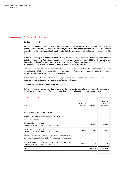# 7. Other disclosures

# **7.1 Segment reporting**

As the "chief operating decision maker" within the meaning of the IFRS 8.7, the managing directors of the general partner Heliad Management GmbH regularly inform themselves about the performance of the company at the level of the overall portfolio. They also make their decisions regarding the allocation of resources at this level.

Information relating to accounting is therefore only available for the company as a whole and is not allocated to individual segments. Accordingly, Heliad is managed as a single-segment entity (SSE), which means that the financial and other effects of its business activities can be seen from the available components of the financial statements. For these reasons, there is no need to report on operating segments.

The company's value is mainly determined on the basis of the market value of investments as reflected in equity according to the IFRS. The net asset value is a central measure of success control and monitoring of the company. Reference is made to item 7.8 Capital management.

Heliad operates exclusively in German-speaking countries; the proceeds were generated in Germany. The reported non-current assets are predominantly located in Germany.

## **7.2 Additional disclosures on financial instruments**

In the following tables, the carrying amounts of the financial instruments, broken down by category, are reconciled to the balance sheet for the reporting dates 31 December 2021 and 31 December 2020:

#### 31 December 2021

|         |         | statement |
|---------|---------|-----------|
|         |         |           |
|         |         |           |
| Level 2 | 48,004  | 48,004    |
| Level 1 | 121,205 | 121,205   |
|         |         |           |
| Level 3 | 70      | 70        |
|         | 169,279 | 169.279   |
|         |         |           |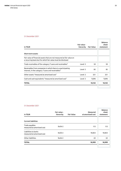# 31 December 2021

| in TEUR                                                                                                                               | Fair value -<br>hierarchy | <b>Fair Value</b> | <b>Balance</b><br>sheet<br>statement |
|---------------------------------------------------------------------------------------------------------------------------------------|---------------------------|-------------------|--------------------------------------|
| Short-term assets                                                                                                                     |                           |                   |                                      |
| Fair value of financial assets that are not measured at fair value on<br>a recurring basis but for which fair value must be disclosed |                           |                   |                                      |
| Trade receivables of the category "Loans and receivables"                                                                             | Level 2                   | 50                | 50                                   |
| Receivables from companies in which there is a participating<br>interest, in the category "Loans and receivables"                     | Level 2                   | 85                | 85                                   |
| Other assets "measured at amortised cost"                                                                                             | Level 2                   | 321               | 321                                  |
| Cash and cash equivalents "measured at amortised cost"                                                                                | Level 2                   | 9,696             | 9,696                                |
| <b>TOTAL</b>                                                                                                                          |                           | 10,152            | 10,152                               |
|                                                                                                                                       |                           |                   |                                      |

# 31 December 2021

| in TEUR                                            | Fair value -<br>hierarchy | <b>Fair Value</b> | Measured<br>at amortised cost | <b>Balance</b><br>sheet<br>statement |
|----------------------------------------------------|---------------------------|-------------------|-------------------------------|--------------------------------------|
| <b>Current liabilities</b>                         |                           |                   |                               |                                      |
| Trade payables<br>measured at amortised cost       | Stufe 2                   |                   | 113                           | 113                                  |
| Liabilities to banks<br>measured at amortised cost | Stufe 2                   |                   | 18,823                        | 18,823                               |
| Other liabilities                                  | Stufe 2                   |                   | 63                            | 63                                   |
| <b>TOTAL</b>                                       |                           |                   | 18,999                        | 18,999                               |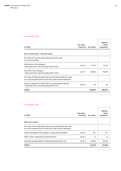# 31 December 2020

| Level 2 | 12,118  | 12,118  |
|---------|---------|---------|
| Level 1 | 94,626  | 94,626  |
|         |         |         |
| Level 3 | 66      | 66      |
|         | 106,810 | 106,810 |
|         |         |         |

# 31 December 2020

| in TEUR                                                                                                                               | Fair value -<br>hierarchy | <b>Fair Value</b> | <b>Balance</b><br>sheet<br>statement |
|---------------------------------------------------------------------------------------------------------------------------------------|---------------------------|-------------------|--------------------------------------|
| Short-term assets                                                                                                                     |                           |                   |                                      |
| Fair value of financial assets that are not measured at fair value<br>on a recurring basis but for which fair value must be disclosed |                           |                   |                                      |
| Trade receivables of the category "Loans and receivables"                                                                             | Level 2                   | 101               | 101                                  |
| Other assets "measured at amortised cost"                                                                                             | Level 2                   | 8                 | 8                                    |
| Cash and cash equivalents "measured at amortised cost"                                                                                | Level 2                   | 24,469            | 24,469                               |
| <b>TOTAL</b>                                                                                                                          |                           | 24,578            | 24,578                               |
|                                                                                                                                       |                           |                   |                                      |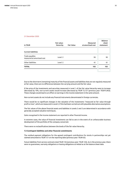#### 31 December 2020

| in TEUR                                      | Fair value-<br>hierarchy | <b>Fair Value</b> | Measured<br>at amortised cost | <b>Balance</b><br>sheet<br>statement |
|----------------------------------------------|--------------------------|-------------------|-------------------------------|--------------------------------------|
| <b>Current liabilities</b>                   |                          |                   |                               |                                      |
| Trade payables<br>measured at amortised cost | Level 2                  |                   | 90                            | 90                                   |
| Other liabilities                            | Level 2                  |                   | 61                            | 61                                   |
| <b>TOTAL</b>                                 |                          |                   | 152                           | 152                                  |
|                                              |                          |                   |                               |                                      |

Due to the short-term (remaining) maturity of the financial assets and liabilities that are not regularly measured at fair value, there are no differences between the carrying amount and the fair value.

If the price of the investments and securities measured in Level 1 of the fair value hierarchy were to increase (decrease) by 10%, non-current assets would increase (decrease) by TEUR 12,121 (previous year: TEUR 9,463). These changes would lead to an effect on earnings in the income statement in the same amount.

Non-current assets do not include any financial instruments denominated in foreign currencies.

There would be no significant changes in the valuation of the investments "measured at fair value through profit or loss", which are measured in Level 2, if this had been carried out with plausible alternative assumptions.

The fair values of the above financial assets and liabilities in Levels 2 and 3 are determined in accordance with generally accepted valuation techniques.

Gains recognised in the income statement are reported in other financial income.

In extreme cases, the value of financial investments can fall to zero in the event of an unfavourable business development of the portfolio of the company concerned.

There were no reclassifications between the levels of the fair value hierarchy.

#### **7.3 Contingent liabilities and other financial commitments**

The residual payment obligations for the agreed contingent contributions for stocks in partnerships not yet claimed amounted to TEUR 121 on the reporting date (previous year: TEUR 63).

Future liabilities from service contracts total TEUR 126 (previous year: TEUR 126). As in the previous year, there were no guarantees, warranty obligations or leasing obligations at Heliad as at the balance sheet date.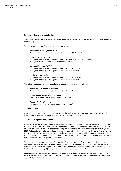#### **7.4 Information on corporate bodies**

The general partner, Heliad Management GmbH, Frankfurt am Main, is alone authorised and obliged to manage the company.

The managing directors of the general partner are or were:

- *· Falk Schäfers, Frankfurt am Main Managing Director of Heliad Management GmbH (since 01/05/2021)*
- *· Matthias Kröner, Munich Managing Director of Heliad Management GmbH (from 01/05/2021 to 31/10/2021) Managing Director of Tradelite Solutions GmbH, Munich*
- *· Juan Rodriguez, Bad Vilbel Managing Director of Heliad Management GmbH (until 30/04/2021) Managing Director of C3 Management GmbH, Frankfurt am Main*
- *· Stefan Schütze, Lindau Managing Director of Heliad Management GmbH (until 30/04/2021) Managing Director of C3 Management GmbH, Frankfurt am Main*

The following persons have been appointed as members of the Supervisory Board:

- *· Volker Rofalski, Munich (Chairman) Managing Director of only natural munich GmbH, Munich*
- *· Stefan Müller, Küps (Deputy Chairman) Executive Vice President of Börsenmedien AG, Kulmbach*
- *· Herbert Seuling, Kulmbach Managing Director of M & S Monitoring GmbH, Kulmbach*

#### **7.5 Auditor's fees**

A fee of TEUR 55 was recognised as an expense for the auditor's services (previous year: TEUR 50). In addition, the auditor charged fees for other services of TEUR 129 (previous year: TEUR 0).

## **7.6 Related companies and persons**

FinLab AG, Frankfurt am Main, as of 31 December 2021 held more than 25% of the shares of the company. FinLab AG is also the sole stockholder of the general partner of the Company, Heliad Management GmbH, Frankfurt am Main. On the basis of the voting majority presence at the General Meetings of Thursday, 9 June 2021, FinLab AG was able to exert what amounted to a controlling influence over the Company. Furthermore, it is expected that the voting majority presence will also occur at future shareholders' meetings, so Heliad Equity Partners GmbH & Co. KGaA was a business controlled by FinLab AG within the meaning of § 17 (1) and (2) German Stock Corporation Act (AktG) as of 31 December 2021.

The directly controlling company (FinLab AG, Frankfurt am Main) was categorised as an associated enterprise with respect to other companies as of 31 December 2021 within the meaning of § 15 German Stock Corporation Act (AktG). Mr Bernd Förtsch, Kulmbach, Germany, is the indirectly controlling shareholder within the meaning of § 17 (1) of the German Stock Corporation Act (AktG).

Börsenmedien AG provided advertising services and specialist literature for Heliad Equity Partners GmbH & Co. KGaA, Frankfurt am Main, and provided specialist literature, for which it invoiced an amount of TEUR 7 (previous year: TEUR 0) including VAT.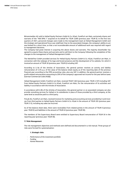Börsenmedien AG sold to Heliad Equity Partners GmbH & Co. KGaA, Frankfurt am Main, exclusively shares and warrants of the "468 SPAC I" acquired on its behalf for TEUR 3,000 (previous year: TEUR 0). In the first two quarters of 2021, personnel changes were made to the management team at Heliad Management GmbH and the strategic and operational focus was redefined. Due to the associated changes, the company's ability to act was limited for a short time, so that a not inconsiderable amount of additional work was required with regard to management decisions.

The Company had great interest in acquiring the above shares and warrants. The majority shareholder has agreed to acquire these shares and warrants and to sell them to the Company following the completion of the changes to the management of Heliad Management GmbH.

The Werbefritz! GmbH provided services for Heliad Equity Partners GmbH & Co. KGaA, Frankfurt am Main, in connection with the redesign of its logo and brand presence and the development of its website, for which it invoiced an amount of TEUR 30 (previous year: TEUR 0) including VAT.

According to § 8a of the Articles of Association, the general partner receives an activity and liability remuneration of 2.5% p.a. of the value of the balance sheet equity as of the reporting date of the previous financial year according to the IFRS accounting rules, plus any VAT. In addition, the general partner receives a profit-related remuneration amounting to 20% of the company's approved net income for the year before taxes (German Commercial Code (HGB)).

Heliad Management GmbH, Frankfurt am Main, received TEUR 7,824 (previous year: TEUR 2,107) including VAT from Heliad Equity Partners GmbH & Co KGaA, Frankfurt am Main, for the remuneration of its activities and liability in accordance with the Articles of Association.

In accordance with § 8b of the Articles of Association, the general partner or an associated company can also provide consulting services for Heliad or its subsidiaries in place of those provided by a third company, at the same level as would be paid to a third party.

FinLab AG, Frankfurt am Main, received invoices for marketing and accounting services provided by it and invoices from third parties to Heliad Equity Partners GmbH & Co. KGaA in the amount of TEUR 205 (previous year: TEUR 213), including any sales tax incurred.

As of the balance sheet date, there were receivables from related parties in the amount of TEUR 0 (previous year: TEUR 0) and liabilities in the amount of TEUR 63 (previous year: TEUR 90).

The members of the Supervisory Board were entitled to Supervisory Board remuneration of TEUR 50 in the reporting year (previous year: TEUR 48).

# **7.7 Risk Management**

The risk management objectives and methods were defined and documented in a risk manual. Three groups of risks were formed for systematisation:

#### *1. Strategic risks:*

- *· Performance of the investment portfolio*
- *· Funding*
- *· Human Resources*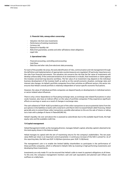#### *2. Financial risks, among others concerning:*

- *· Valuation risk from new investments*
- *· Performance of existing investments*
- *· Currency risk*
- *· Exposure to liquidity risk*
- *· Risks from guarantees, sureties and other off-balance sheet obligations*
- *· Legal risks*

# *3. Operational risks:*

- *· Financial accounting, controlling and accounting*
- *· Cash flows*
- *· Data loss and other risks from electronic data processing*

For each of the possible risk areas, the early identification of risks, communication and risk management through the definition and implementation of appropriate countermeasures are regulated. Of particular importance are the risks from financial instruments. The valuation risk concerns the risk that the fair value of investments will develop unfavourably. If the continued existence of an investment is in doubt, that investment or claims against the investee concerned may become worthless. The fair value of an investment may depend on the individual business development of the investee itself, as well as on the overall economic situation, exchange rates and interest rate changes. As Heliad's portfolio companies focus their activities on different sectors, this sector mix ensures that Heliad's overall portfolio is relatively independent of sector-specific economic fluctuations.

However, the value of individual portfolio companies can depend heavily on developments in individual sectors or sector-related value influences.

There is only a minor dependence on fluctuating exchange rates, as exchange rate-related fluctuations in value could, however, also have an indirect effect on the value of portfolio companies if they experience significant effects on earnings or assets as a result of changes in exchange rates.

The cash collateral of TEUR 18,823 provided as part of the collar transactions to secure potential claims from the put options in the liabilities to banks with a total term until March 2022 increased Heliad's debt financing. Heliad generally aims to extend these collar transactions; possible alternatives to this are the sale of shares or taking out a loan with a pledge of shares in flatexDEGIRO AG.

Heliad's liquidity risk over and above this is assessed as subordinate due to the available liquid funds, the high equity ratio and the available credit line.

#### **7.8 Capital management**

Heliad Management GmbH, as the managing director, manages Heliad's capital, whereby capital is deemed to be the total equity shown in the balance sheet.

Heliad manages its capital with the aim of maximising returns for the company's stakeholders. The net asset value (NAV) per share is an important control parameter. A continuous increase of the NAV is aimed for. As of the reporting date, the NAV was EUR 14.28/share (previous year: EUR 13.28/share).

The management's aim is to enable the limited liability shareholders to participate in the performance of these portfolio companies, which is reflected in Heliad's NAV, by investing in high-performing investments and developing these investments.

Investments are only made if it can be ensured that Heliad is able to meet its payment obligations at all times. To this end, the company's management monitors cash and cash equivalents and planned cash inflows and outflows on a daily basis.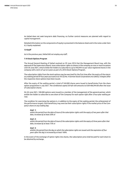As Heliad does not seek long-term debt financing, no further control measures are planned with regard to capital management.

Detailed information on the components of equity is presented in the balance sheet and in the notes under item 6.3. Equity explained.

# **7.9 Staff**

As in the previous year, Heliad did not employ any staff.

# **7.10 Stock Options Program**

The Annual General Meeting of Heliad resolved on 29 June 2016 that the Management Board may, with the approval of the Supervisory Board, issue subscription rights to shares in the company on one or more occasions until 30 June 2021, which entitle the holders to subscribe to up to 950,944 no-par value registered shares in the company with a term of up to 6 years as part of a 2016 Stock Options Program.

The subscription rights from the stock options may be exercised for the first time after the expiry of the statutory waiting period of four years pursuant to § 193 (2) No. 4 German Stock Corporations Act (AktG). It begins after the respective share options have been issued.

After the expiry of the waiting period, a total of 544.000 shares were issued to beneficiaries from the share option programme in July 2021. The conditional capital 2016/II still amounts to EUR 406,944.00 after the issue of subscription shares.

On 30 June 2021, 100.000 options were issued to a member of the management of the general partner, which entitle the holder to subscribe to one share of the Company for each option right after a four-year waiting period.

The condition for exercising the options is, in addition to the expiry of the waiting period, the achievement of the performance targets. Each beneficiary may exercise their subscription rights if the market price of the Company's share on any trading day:

# *Goal 1:*

*within the period from the date of issue of the subscription rights until the expiry of two years after that date, increases by at least 50% or*

## *Goal 2:*

within the period from the date of issue of the subscription rights until the expiry of three years after that *date, increases by at least 75% or*

#### *Goal 3:*

*whithin the period from the day on which the subscription rights are issued until the expiration of four years after this day is increased by at least 100%.*

In the event of the exchange of option rights into shares, the subscription price shall be paid for each share to be obtained by exchange.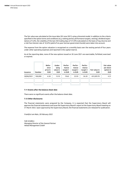The fair value was calculated at the issue date (30 June 2021) using a binomial model. In addition to the criteria specified in the option terms and conditions (e.g. waiting period, performance targets, vesting), dividend expectations of 3,0%, the volatility of the last 250 trading days of 37,44% (calculated on the basis of log returns) and a risk-free interest rate of -0,52% (yield of six-year German government bonds) were taken into account.

The expense from the option valuation is recognised on a monthly basis over the vesting period of four years under other operating expenses and reported in the capital reserve.

As at the reporting date, none of the new options issued on 30 June 2021 are exercisable, forfeited, exercised or expired.

| Issuance   | <b>Number</b> | Refer-<br>ence<br>price in<br><b>EUR</b> | Under-<br>lying<br>value in<br><b>EUR</b> | Perfor-<br>mance<br>target 1<br>in EUR | Perfor-<br>mance<br>target 2<br>in EUR | Perfor-<br>mance<br>target 3<br>in EUR | Fair value in<br><b>EUR</b> | <b>Fair value</b><br>per share<br>option in<br><b>EUR</b> |
|------------|---------------|------------------------------------------|-------------------------------------------|----------------------------------------|----------------------------------------|----------------------------------------|-----------------------------|-----------------------------------------------------------|
| 30/06/2021 | 100.000       | 6.50                                     | 13.10                                     | 19.65                                  | 22.93                                  | 26.20                                  | 431,029.70                  | 4.31                                                      |
|            |               |                                          |                                           |                                        |                                        |                                        |                             |                                                           |

# **7.11 Events after the balance sheet date**

There were no significant events after the balance sheet date.

#### **7.12 Other disclosures**

The financial statements were prepared by the Company. It is expected that the Supervisory Board will approve the financial statements and issue the Supervisory Board's report at the Supervisory Board meeting on 31 March 2022. Upon approval by the Supervisory Board, the financial statements are released for publication.

*Frankfurt am Main, 28 February 2022*

*Falk Schäfers Managing Director of the General Partner Heliad Management GmbH*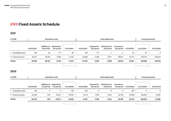# **IFRS Fixed Assets Schedule**

# **2021**

| in TEUR              | <b>Acquisition costs</b> |            |                                        | Value adjustment |            |                            |                                    | Carrying amounts           |            |            |            |
|----------------------|--------------------------|------------|----------------------------------------|------------------|------------|----------------------------|------------------------------------|----------------------------|------------|------------|------------|
|                      | 01/01/2021               | the period | Addition of Disposal for<br>the period | 31/12/2021       | 01/01/2021 | Disposal for<br>the period | <b>Reductions in</b><br>the period | Increases in<br>the period | 31/12/2021 | 31/12/2021 | 31/12/2020 |
| I. Intangible assets | 169                      | 30         | $-117$                                 | 82               | $-169$     | 117                        | $-1$                               | $\mathbf{0}$               | $-53$      | 29         | 0          |
| II. Financial assets | 39,322                   | 38,104     | $-5,862$                               | 71,565           | 67,488     | 5,289                      | $-3,877$                           | 28,814                     | 97,714     | 169,279    | 106,810    |
| <b>TOTAL</b>         | 39,492                   | 38,134     | $-5,979$                               | 71,647           | 67,319     | 5,406                      | $-3,878$                           | 28,814                     | 97,661     | 169,308    | 106,810    |

# **2020**

| in TEUR              |            |                           | <b>Acquisition costs</b>   |            | Value adjustment |                            |                                    | Carrying amounts           |            |             |            |
|----------------------|------------|---------------------------|----------------------------|------------|------------------|----------------------------|------------------------------------|----------------------------|------------|-------------|------------|
|                      | 01/01/2020 | Addition of<br>the period | Disposal for<br>the period | 31/12/2020 | 01/01/2020       | Disposal for<br>the period | <b>Reductions in</b><br>the period | Increases in<br>the period | 31/12/2020 | 31/12/2020  | 31/12/2019 |
| Intangible assets    | 169        | $\mathbf 0$               | 0                          | 169        | $-169$           | 0                          | 0                                  | 0                          | $-169$     | $\mathbf 0$ | 0          |
| II. Financial assets | 63,364     | 929                       | $-24,971$                  | 39,322     | 8,716            | 7,595                      | $-5,612$                           | 56,789                     | 67,488     | 106,810     | 72,081     |
| <b>TOTAL</b>         | 63,534     | 929                       | $-24,971$                  | 39,492     | 8,547            | 7,595                      | $-5,612$                           | 56,789                     | 67,319     | 106,810     | 72,081     |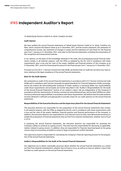# **IFRS Independent Auditor's Report**

#### *To Heliad Equity Partners GmbH & Co. KGaA, Frankfurt am Main*

## **Audit Opinion**

We have audited the annual financial statements of Heliad Equity Partners GmbH & Co. KGaA, Frankfurt am Main, which comprise the balance sheet as at 31 December, 2021, and the income statement, the statement of comprehensive income, the statement of changes in equity and the statement of cash flows for the financial year from 1 January to 31 December, 2021, and notes to the financial statements, including the presentation of the recognition and measurement policies.

In our opinion, on the basis of the knowledge obtained in the audit, the accompanying annual financial statements comply, in all material respects, with the IFRSs as adopted by the EU, and in compliance with these requirements, give a true and fair view of the assets, liabilities and financial position of the Company as at 31 December, 2021, and of its financial performance for the financial year from 1 January to 31 December, 2021.

Pursuant to § 322 (3) Cl. 1 German Commercial Code (HGB), we declare that our audit has not led to any reservations relating to the legal compliance of the annual financial statements.

#### **Basis for the Audit Opinion**

We conducted our audit of the annual financial statements in accordance with § 317 German Commercial Code (HGB) and in compliance with German Generally Accepted Standards for Financial Statement Audits promulgated by the Institut der Wirtschaftsprüfer [Institute of Public Auditors in Germany] (IDW). Our responsibilities under those requirements and principles are further described in the "Auditor's Responsibilities for the Audit of the Annual Financial Statements" section of our auditor's report. We are independent of the Company in accordance with the requirements of German commercial and professional law, and we have fulfilled our other German professional responsibilities in accordance with these requirements. We believe that the audit evidence we have obtained is sufficient and appropriate to provide a basis for our audit opinions on the annual financial statements.

# **Responsibilities of the Executive Directors and the Supervisory Board for the Annual Financial Statements**

The executive directors are responsible for the preparation of the annual financial statements that comply, in all material respects, with the IFRSs as adopted by the EU, and in compliance with these requirements, give a true and fair view of the assets, liabilities, financial position and financial performance of the Company. In addition, the executive directors are responsible for such internal control as they, have determined necessary to enable the preparation of financial statements that are free from material misstatement, whether due to fraud or error.

In preparing the annual financial statements, the executive directors are responsible for assessing the Company's ability to continue as a going concern. They also have the responsibility for disclosing, as applicable, matters related to going concern. In addition, they are responsible for financial reporting based on the going concern basis of accounting, provided no actual or legal circumstances conflict therewith.

The supervisory board is responsible for overseeing the Company's financial reporting process for the preparation of the annual financial statements.

## **Auditor's Responsibilities for the Audit of the Annual Financial Statements**

Our objectives are to obtain reasonable assurance about whether the annual financial statements as a whole are free from material misstatement, whether due to fraud or error, as well as to issue an auditor's report that includes our audit opinions on the annual financial statements.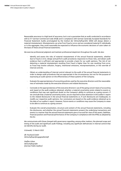Reasonable assurance is a high level of assurance, but is not a guarantee that an audit conducted in accordance with § 317 German Commercial Code (HGB) and in compliance with German Generally Accepted Standards for Financial Statement Audits promulgated by the Institut der Wirtschaftsprüfer (IDW) will always detect a material misstatement. Misstatements can arise from fraud or error and are considered material if, individually or in the aggregate, they could reasonably be expected to influence the economic decisions of users taken on the basis of these annual financial statements.

We exercise professional judgment and maintain professional skepticism throughout the audit. We also:

- Identify and assess the risks of material misstatement of the annual financial statements, whether due to fraud or error, design and perform audit procedures responsive to those risks, and obtain audit evidence that is sufficient and appropriate to provide a basis for our audit opinions. The risk of not detecting a material misstatement resulting from fraud is higher than for one resulting from error, as fraud may involve collusion, forgery, intentional omissions, misrepresentations, or the override of internal controls.
- Obtain an understanding of internal control relevant to the audit of the annual financial statements in order to design audit procedures that are appropriate in the circumstances, but not for the purpose of expressing an audit opinion on the effectiveness of these systems of the Company.
- · Evaluate the appropriateness of accounting policies used by the executive directors and the reasonableness of estimates made by the executive directors and related disclosures.
- · Conclude on the appropriateness of the executive directors' use of the going concern basis of accounting and, based on the audit evidence obtained, whether a material uncertainty exists related to events or conditions that may cast significant doubt on the Company's ability to continue as a going concern. If we conclude that a material uncertainty exists, we are required to draw attention in the auditor's report to the related disclosures in the annual financial statements or, if such disclosures are inadequate, to modify our respective audit opinions. Our conclusions are based on the audit evidence obtained up to the date of our auditor's report. However, future events or conditions may cause the Company to cease to be able to continue as a going concern.
- · Evaluate the overall presentation, structure and content of the annual financial statements, including the disclosures, and whether the annual financial statements present the underlying transactions and events in a manner that the annual financial statements give a true and fair view of the assets, liabilities, financial position and financial performance of the Company in compliance with the IFRSs as adopted by the EU.

We communicate with those charged with governance regarding, among other matters, the planned scope and timing of the audit and significant audit findings, including any significant deficiencies in internal control that we identify during our audit.

*Grünwald, 15 March 2022*

*ifb Treuhand GmbH Wirtschaftsprüfungsgesellschaft*

*Steffen Urban Wirtschaftsprüfer [German Public Auditor]*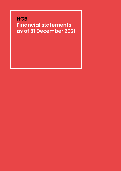# **HGB Financial statements as of 31 December 2021**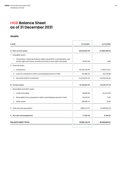# **HGB Balance Sheet as of 31 December 2021**

# **Assets**

| in EUR                                                                                                                                                   | 31/12/2021    | 31/12/2020    |
|----------------------------------------------------------------------------------------------------------------------------------------------------------|---------------|---------------|
| A. Non-current assets                                                                                                                                    | 60,810,855.99 | 25,880,300.66 |
| I. Intangible assets                                                                                                                                     |               |               |
| 1. Concessions, industrial property rights acquired for a consideration, and<br>similar rights and values, as well as licences to such rights and values | 28,923.00     | 0.00          |
| II. Financial assets                                                                                                                                     |               |               |
| 1. Investments                                                                                                                                           | 45,505,556.44 | 11,584,210.12 |
| 2. Loans to companies in which a participating interest is held                                                                                          | 70,384.22     | 65,770.98     |
| 3. Securities held for investment                                                                                                                        | 15,234,915.33 | 14,230,319.56 |
| <b>B. Current assets</b>                                                                                                                                 | 10,140,854.20 | 24,570,277.18 |
| I. Receivables and other assets                                                                                                                          |               |               |
| Trade receivables<br>$1_{-}$                                                                                                                             | 50,000.00     | 101,225.00    |
| Receivables from companies in which a participating interest is held<br>2.                                                                               | 85,016.44     | 0.00          |
| Other assets<br>3.                                                                                                                                       | 309,683.41    | 18.00         |
| II. Cash and cash equivalents                                                                                                                            | 9,696,154.37  | 24,469,034.18 |
| C. Accruals and prepayments                                                                                                                              | 11,503.58     | 8,106.83      |
| <b>BALANCE SHEET TOTAL</b>                                                                                                                               | 70,992,136.79 | 50,458,684.67 |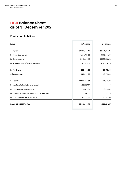# **HGB Balance Sheet as of 31 December 2021**

# **Equity and liabilities**

| in EUR                                                 | 31/12/2021      | 31/12/2020    |
|--------------------------------------------------------|-----------------|---------------|
| A. Equity                                              | 51,784,666.45   | 50,149,857.74 |
| I. Subscribed capital                                  | 11,216,941.00   | 9,872,941.00  |
| II. Capital reserve                                    | 46,245,238.48   | 35,933,238.48 |
| III. Accumulated loss/retained earnings                | $-5,677,513.03$ | 4,343,678.26  |
| <b>B. Provisions</b>                                   | 208,380.00      | 157,075.00    |
| Other provisions                                       | 208,380.00      | 157,075.00    |
| C. Liabilities                                         | 18,999,090.34   | 151,751.93    |
| I. Liabilities to banks (up to one year)               | 18,822,759.17   | 0             |
| II. Trade payables (up to one year)                    | 112,675.85      | 50,294.52     |
| III. Payables to affiliated companies (up to one year) | 347.32          | 39,979.75     |
| IV. Other liabilities (up to one year)                 | 63,308.00       | 61,477.66     |
| <b>BALANCE SHEET TOTAL</b>                             | 70,992,136.79   | 50,458,684.67 |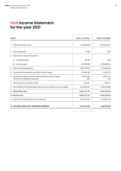# **HGB Income Statement for the year 2021**

| in EUR                                                                                                  | 01/01-31/12/2021   | 01/01-31/12/2020   |  |
|---------------------------------------------------------------------------------------------------------|--------------------|--------------------|--|
| 1. Other operating income                                                                               | 1,402,980.00       | 24,250,579.73      |  |
| 2. Cost of materials                                                                                    | 119.00             | 0.00               |  |
| 3. Depreciation and amortisation of                                                                     |                    |                    |  |
| Intangible assets<br>a)                                                                                 | $-827.00$          | 0.00               |  |
| Current assets<br>b)                                                                                    | $-229,500.00$      | -2,930,899.62      |  |
| 4. Other operating expenses                                                                             | -8,991,497.02      | $-2,710,006.08$    |  |
| Income from investments and other financial assets<br>5.                                                | 979,801.68         | 83,879.76          |  |
| 6. Income from other securities and loans held as financial assets<br>thereof from affiliated companies | 237,879.68<br>0.00 | 335,941.32<br>0.00 |  |
| 7. Other interest and similar income                                                                    | 3,534.01           | 7,924.11           |  |
| 8. Write-downs of financial assets and securities classified as current assets                          | $-3,423,681.64$    | $-3,075,458.98$    |  |
| 9. Result after taxes                                                                                   | $-10,021,191.29$   | 15,961,959.64      |  |
| 10. Period result                                                                                       | -10,021,191,29     | 15,961,959.64      |  |
| 11. Profit carried forward/loss carried forward                                                         | 4,343,678.26       | $-11,618,281.38$   |  |
| 12. ACCUMULATED LOSS / RETAINED EARNINGS                                                                | $-5,677,513.03$    | 4,343,678.26       |  |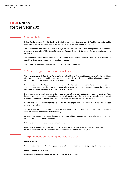# **HGB Notes for the year 2021**

# 1. General disclosures

Heliad Equity Partners GmbH & Co. KGaA (Heliad) is based at Grüneburgweg 18, Frankfurt am Main, and is registered in the district trade register for Frankfurt am Main under the number HRB 73524.

The annual financial statements of Heliad Equity Partners GmbH & Co. KGaA have been prepared in accordance with the provisions of the Third Book of the German Commercial Code (HGB) and the German Stock Corporation Act (AktG).

The company is a small corporation pursuant to § 267 (1) of the German Commercial Code (HGB) and has made use of the simplification provisions for small corporations.

The Income Statement was prepared according to the total cost method.

# 2. Accounting and valuation principles

The balance sheet of Heliad Equity Partners GmbH & Co. KGaA is structured in accordance with the provisions of § 266 seqq. HGB. Assets and liabilities are valued in accordance with commercial law valuation regulations, taking into account the generally accepted accounting principles.

Financial assets are valued at the lower of acquisition cost or fair value. Acquisitions of shares in companies with share capital in a currency other than the euro were also accounted for at the acquisition cost and thus using the mean spot exchange rate applicable at the time of acquisition.

Depending on the type of company to be valued, the valuation of participations and other financial assets is based on common valuation methods such as the discounted cash flow method or multiple valuations. All available information, including information provided by the company, is taken into account.

Investments in funds are valued on the basis of the information provided by the funds, in particular the net asset value, where available.

The receivables, other assets, bank balances and prepaid expenses are recognised at nominal value. Individual value adjustments were made where necessary.

Provisions are measured at the settlement amount required in accordance with prudent business judgement, taking into account all identifiable risks.

Liabilities are recognised at the settlement amounts.

Assets and liabilities denominated in foreign currencies are valued at the average spot exchange rate on the balance sheet date in accordance with § 256a German Commercial Code (HGB)

# 3. Explanations concerning the balance sheet

# **Financial assets**

Financial assets include participations, securities and loans to companies in which a participating interest is held.

## **Receivables and other assets**

Receivables and other assets have a remaining term of up to one year.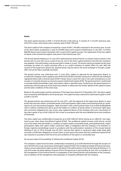# **Equity**

The share capital amounts to EUR 11,216,941.00 and is fully paid up. It consists of 11,216,941 (previous year: 9,872,941) no-par value shares with a notional value of EUR 1.00 each.

The share capital of the company increased by a total of EUR 1,344,000 compared to the previous year. As part of the share option programme, a total of 544,000 shares were issued to beneficiaries in July 2021. A further 800,000 shares were issued in December 2021 as part of the capital increase. The registration of the two capital increases in the commercial register took place in the financial year 2021.

The Annual General Meeting on 24 June 2019 authorised the General Partner to acquire treasury shares in the period until 23 June 2024 up to a total of ten per cent of the share capital existing at the time the resolution was adopted. The authorisation may be exercised in whole or in part. The stocks may be purchased via the stock exchange, by means of a public purchase offer or as a public invitation to submit offers for sale. With the consent of the Supervisory Board, the acquired stocks may be sold on the stock exchange or through a public offer and can be fully or partially retracted.

The general partner was authorised until 13 June 2023, subject to approval by the Supervisory Board, to increase the company's share capital by up to EUR 4,936,470.00 in total by issuing up to 4,936,470 new individual registered shares with a nominal value of EUR 1.00 per share in return for cash or non-cash contributions on one occasion or in partial amounts on several occasions (Authorised Capital 2018). The general partner is authorised to exclude limited shareholders' basic subscription rights in specified cases. Furthermore, the general partner is authorised, with the approval of the Supervisory Board, to determine the further details of the capital increase and the other conditions of the share issue.

Based on this authorisation and the resolution of the Supervisory Board of 10 December 2021, the share capital was increased by EUR 800,000 in the financial year. This capital increase reduced the Authorised Capital in 2018 to EUR 4,136,470.

The general partner was authorised until 30 June 2021, with the approval of the Supervisory Board, to issue bonds with warrants and/or convertible bonds, profit participation rights and/or participating bonds (or combinations of such instruments) (together "debt securities") with a total nominal value of up to EUR 50,000,000.00 with or without a limited term and to grant the holders or creditors of bonds option or conversion rights (also with conversion obligation) for new no-par value registered shares of the Company with a pro rata amount of the share capital of up to EUR 3,803,261.00 in total in accordance with the more detailed terms and conditions of the bonds.

The share capital was conditionally increased by up to EUR 3,803,261.00 by issuing up to 3,803,261 new registered no-par value shares (Conditional Capital 2016/I). The conditional capital increase could only be carried out to the extent that the holders or creditors of option and/or convertible bonds, participating bonds, and/or participation rights with option and/or conversion rights or obligations that the company or its domestic or foreign majority shareholdings issued in accordance with the authorization resolution of the Annual General Meeting of July 12, 2016, through June 30, 2021, exercise their option or conversion rights under these debt securities or fulfil their obligation to convert them, in each case to the extent that the Conditional Capital 2016/I was required in accordance with the terms and conditions of the option or convertible loan.

No use was made of the possibility of utilising the Conditional Capital 2016/I.

The company's capital stock has been conditionally increased by up to EUR 950,944.00 through the issuance of up to 950,944 new no par value shares (Contingent Capital 2016/II). The Conditional Capital 2016/II served exclusively to secure subscription rights issued on the basis of the authorization of the Annual General Meeting on 12 July 2016 under the Stock Options Program 2016 in the period up to and including 30 June 2021 to members of the management of the General Partner, to employees of the General Partner and employees of the Company, and to members of the management and employees of companies affiliated with the Company.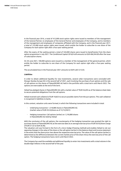In the financial year 2016, a total of 412,000 stock option rights were issued to members of the management of the General Partner, to employees of the General Partner and employees of the Company, and to members of the management and employees of companies affiliated with the Company, and in the financial year 2017, a total of 132,000 stock option rights were issued, which entitle the holder to subscribe to one share of the Company for each option right after a four-year waiting period.

After the expiry of the waiting period, a total of 544,000 shares were issued to beneficiaries from the share option programme in July 2021. The Conditional Capital 2016/II still amounts to EUR 406,944.00 after the issue of subscription shares.

On 30 June 2021, 100,000 options were issued to a member of the management of the general partner, which entitle the holder to subscribe to one share of the Company for each option right after a four-year waiting period.

The accumulated loss in the financial year 2021 amounts to EUR 5,667,513.03.

## **Liabilities**

In order to obtain additional liquidity for new investments, several collar transactions were concluded with Morgan Stanley Europe SE in the second half of 2021, each involving the purchase of put options and the sale of call options on the shares of flatexDEGIRO AG held in the portfolio with a total term until March 2022. The options are exercisable at the end of the term.

Heliad has pledged shares in flatexDEGIRO AG with a market value of TEUR 26,694 as of the balance sheet date to secure potential obligations from the call options.

Heliad received cash collateral of EUR 18,823 to secure possible claims from the put options. This cash collateral is recognised in liabilities to banks.

In this context, valuation units were formed, in which the following transactions were included in total:

- Underlying transaction: 1,318,880 shares in flatexDEGIRO AG (market value of EUR 20.24/share as of 31/12/2021)
- Hedging transaction: Call options (writer) on 1,318,880 shares in flatexDEGIRO AG held by Heliad

With the conclusion of the call options, the counterparty of the hedging transaction was granted the right to purchase shares of flatexDEGIRO AG at the exercise date at an average exercise price of EUR 30.92/share (range of EUR 27.32 to EUR 36.96).

The valuation unit was formed in the form of a micro hedge (freezing method) and enables Heliad to net out opposing changes in the value of the share or the call option (writer) in the balance sheet and income statement in the event that the share price rises above the respective exercise price. The value of the call option (writer) is determined as the difference between the current market price of the share minus the exercise price of the call option. The hedging transactions have a term until March 2022.

The Company has used the available and additional liquidity to enter into investments with a total volume in the double-digit millions in the second half of the year.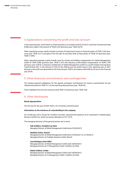# 4. Explanations concerning the profit and loss account

In the reporting year, write-downs on financial assets in accordance with § 253 (3) Cl. 6 German Commercial Code (HGB) were made in the amount of TEUR 3,424 (previous year: TEUR 3,075).

Other operating income mainly includes reversals of impairment losses on financial assets of TEUR 1,026 (previous year: TEUR 5,511) and gains from the sale of securities held as fixed assets of TEUR 374 (previous year: TEUR 17,994).

Other operating expenses mainly include costs for activity and liability compensation for Heliad Management GmbH of TEUR 3,866 (previous year: TEUR 2,107) and statutory profit-related compensation of TEUR 3,799 (previous year: EUR 0). A statutory entitlement of Heliad Management GmbH to a profit-related remuneration ("performance fee" in the amount of 20% of the HGB-annual net profit) arose in the reporting year of 2021 because a net profit was generated in the financial year 2020 in accordance with HGB (a net loss in the financial year 2019).

# 5. Other financial commitments and contingencies

The residual payment obligations for the agreed contingent contributions for stocks in partnerships not yet claimed amounted to TEUR 121 on the reporting date (previous year: TEUR 63).

Future liabilities from service contracts total TEUR 126 (previous year: TEUR 126).

# 6. Other disclosures

# **Result appropriation**

The net loss for the year of EUR 10,021,191.29 will be carried forward.

#### **Information on the existence of a shareholding in the company**

On 10 February 2012, FinLab AG, Frankfurt am Main, reported the existence of an investment in Heliad Equity Partners GmbH & Co. KGaA via various allocations of 25.147%.

The managing directors of the general partner are or were:

*· Falk Schäfers, Frankfurt am Main* 

*Managing Director of Heliad Management GmbH (since 01/05/2021)*

*· Matthias Kröner, Munich*

*Managing Director of Heliad Management GmbH (from 01/05/2021 to 31/10/2021) Managing Director of Tradelite Solutions GmbH, Munich*

*· Juan Rodriguez, Bad Vilbel Managing Director of Heliad Management GmbH (until 30/04/2021) Managing Director of C3 Management GmbH, Frankfurt am Main*

# *· Stefan Schütze, Lindau*

*Managing Director of Heliad Management GmbH (until 30/04/2021) Managing Director of C3 Management GmbH, Frankfurt am Main*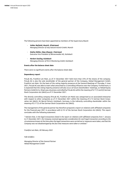The following persons have been appointed as members of the Supervisory Board:

- *· Volker Rofalski, Munich (Chairman) Managing Director of only natural munich GmbH, Munich*
- *· Stefan Müller, Küps (Deputy Chairman) Executive Vice President of Börsenmedien AG, Kulmbach*
- *· Herbert Seuling, Kulmbach Managing Director of M & S Monitoring GmbH, Kulmbach*

## **Events after the balance sheet date**

There were no significant events after the balance sheet date.

#### **Dependency report**

FinLab AG, Frankfurt am Main, as of 31 December 2021 held more than 25% of the shares of the company. FinLab AG is also the sole stockholder of the general partner of the Company, Heliad Management GmbH, Frankfurt am Main. On the basis of the voting majority presence at the General Meetings of Thursday, 9 June 2021, FinLab AG was able to exert what amounted to a controlling influence over the Company. Furthermore, it is expected that the voting majority presence will also occur at future shareholders' meetings, so Heliad Equity Partners GmbH & Co. KGaA was a business controlled by FinLab AG within the meaning of § 17 (1) and (2) German Stock Corporation Act (AktG) as of 31 December 2021.

The directly controlling company (FinLab AG, Frankfurt am Main) was categorised as an associated enterprise with respect to other companies as of 31 December 2021 within the meaning of § 15 German Stock Corporation Act (AktG). Mr Bernd Förtsch, Kulmbach, Germany, is the indirectly controlling shareholder within the meaning of § 17 (1) of the German Stock Corporation Act (AktG).

The management of the general partner has therefore prepared a report on relations with affiliated companies for the financial year 2021 in accordance with § 312 of the German Stock Corporation Act (AktG). This report concludes with the following statement:

*"I declare that, in the legal transactions listed in the report on relations with affiliated companies from 1 January to 31 December 2021, the Company received appropriate consideration for each legal transaction according to the circumstances known at the time when the legal transactions were carried out or measures were taken, and that the Company was not disadvantaged by the fact that measures were taken or omitted."*

*Frankfurt am Main, 28 February 2022*

*Falk Schäfers*

*Managing Director of the General Partner Heliad Management GmbH*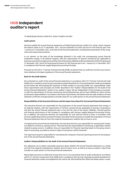# **HGB Independent auditor's report**

*To Heliad Equity Partners GmbH & Co. KGaA, Frankfurt am Main*

## **Audit opinion**

We have audited the annual financial statements of Heliad Equity Partners GmbH & Co. KGaA, which comprise the balance sheet as at 31 December, 2021, and the statement of profit and loss for the financial year from 1 January to 31 December, 2021, and notes to the financial statements, including the presentation of the recognition and measurement policies.

In our opinion, on the basis of the knowledge obtained in the audit, the accompanying annual financial statements comply, in all material respects, with the requirements of German commercial law applicable to business corporations and give a true and fair view of the assets, liabilities and financial position of the Company as at 31 December, 2021 and of its financial performance for the financial year from 1 January to 31 December, 2021 in compliance with German Legally Required Accounting Principles.

Pursuant to § 322 (3) Cl. 1 German Commercial Code (HGB), we declare that our audit has not led to any reservations relating to the legal compliance of the annual financial statements.

## **Basis for the Audit Opinion**

We conducted our audit of the annual financial statements in accordance with § 317 German Commercial Code (HGB) and in compliance with German Generally Accepted Standards for Financial Statement Audits promulgated by the Institut der Wirtschaftsprüfer [Institute of Public Auditors in Germany] (IDW). Our responsibilities under those requirements and principles are further described in the "Auditor's Responsibilities for the Audit of the Annual Financial Statements" section of our auditor's report. We are independent of the Company in accordance with the requirements of German commercial and professional law, and we have fulfilled our other German professional responsibilities in accordance with these requirements. We believe that the audit evidence we have obtained is sufficient and appropriate to provide a basis for our audit opinion on the annual financial statements.

#### **Responsibilities of the Executive Directors and the Supervisory Board for the Annual Financial Statements**

The executive directors are responsible for the preparation of the annual financial statements that comply, in all material respects, with the requirements of German commercial law applicable to business corporations, and that the annual financial statements give a true and fair view of the assets, liabilities, financial position and financial performance of the Company in compliance with German Legally Required Accounting Principles. In addition, the executive directors are responsible for such internal control as they, in accordance with German Legally Required Accounting Principles, have determined necessary to enable the preparation of annual financial statements that are free from material misstatement, whether due to fraud or error.

In preparing the annual financial statements, the executive directors are responsible for assessing the Company's ability to continue as a going concern. They also have the responsibility for disclosing, as applicable, matters related to going concern. In addition, they are responsible for financial reporting based on the going concern basis of accounting, provided no actual or legal circumstances conflict therewith.

The supervisory board is responsible for overseeing the Company's financial reporting process for the preparation of the annual financial statements.

# **Auditor's Responsibilities for the Audit of the Annual Financial Statements**

Our objectives are to obtain reasonable assurance about whether the annual financial statements as a whole are free from material misstatement, whether due to fraud or error, as well as to issue an auditor's report that includes our audit opinion on the annual financial statements.

Reasonable assurance is a high level of assurance, but is not a guarantee that an audit conducted in accordance with § 317 German Commercial Code (HGB) and in compliance with German Generally Accepted Standards for Financial Statement Audits promulgated by the Institut der Wirtschaftsprüfer (IDW) will always detect a mate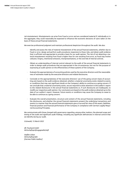rial misstatement. Misstatements can arise from fraud or error and are considered material if, individually or in the aggregate, they could reasonably be expected to influence the economic decisions of users taken on the basis of these annual financial statements.

We exercise professional judgment and maintain professional skepticism throughout the audit. We also:

- · Identify and assess the risks of material misstatement of the annual financial statements, whether due to fraud or error, design and perform audit procedures responsive to those risks, and obtain audit evidence that is sufficient and appropriate to provide a basis for our audit opinion. The risk of not detecting a material misstatement resulting from fraud is higher than for one resulting from error, as fraud may involve collusion, forgery, intentional omissions, misrepresentations, or the override of internal controls.
- Obtain an understanding of internal control relevant to the audit of the annual financial statements in order to design audit procedures that are appropriate in the circumstances, but not for the purpose of expressing an audit opinion on the effectiveness of these systems of the Company.
- · Evaluate the appropriateness of accounting policies used by the executive directors and the reasonableness of estimates made by the executive directors and related disclosures.
- Conclude on the appropriateness of the executive directors' use of the going concern basis of accounting and, based on the audit evidence obtained, whether a material uncertainty exists related to events or conditions that may cast significant doubt on the Company's ability to continue as a going concern. If we conclude that a material uncertainty exists, we are required to draw attention in the auditor's report to the related disclosures in the annual financial statements or, if such disclosures are inadequate, to modify our respective audit opinion. Our conclusions are based on the audit evidence obtained up to the date of our auditor's report. However, future events or conditions may cause the Company to cease to be able to continue as a going concern.
- Evaluate the overall presentation, structure and content of the annual financial statements, including the disclosures, and whether the annual financial statements present the underlying transactions and events in a manner that the annual financial statements give a true and fair view of the assets, liabilities, financial position and financial performance of the Company in compliance with German Legally Required Accounting Principles.

We communicate with those charged with governance regarding, among other matters, the planned scope and timing of the audit and significant audit findings, including any significant deficiencies in internal control that we identify during our audit.

*Grünwald, 15 March 2022*

*ifb Treuhand GmbH Wirtschaftsprüfungsgesellschaft*

*Steffen Urban Wirtschaftsprüfer [German Public Auditor]*